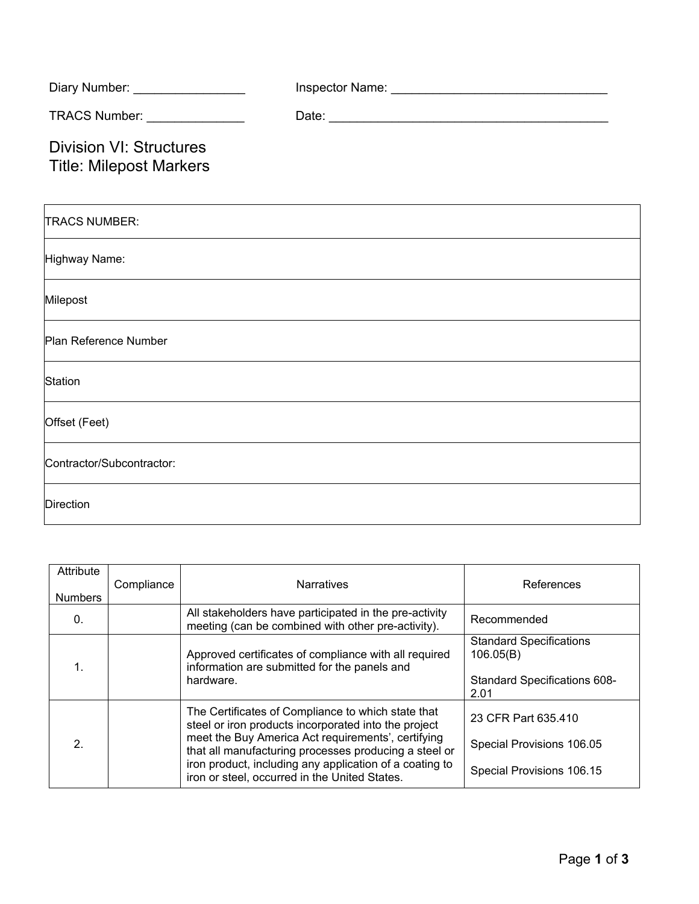| Diary Number: _________________                                  |  |
|------------------------------------------------------------------|--|
| TRACS Number: _______________                                    |  |
| <b>Division VI: Structures</b><br><b>Title: Milepost Markers</b> |  |
| <b>TRACS NUMBER:</b>                                             |  |
| Highway Name:                                                    |  |
| Milepost                                                         |  |
| Plan Reference Number                                            |  |
| Station                                                          |  |
| Offset (Feet)                                                    |  |
| Contractor/Subcontractor:                                        |  |
| <b>Direction</b>                                                 |  |

| Attribute<br><b>Numbers</b> | Compliance | <b>Narratives</b>                                                                                                                                                                                                                                                                                                                     | References                                                                                 |
|-----------------------------|------------|---------------------------------------------------------------------------------------------------------------------------------------------------------------------------------------------------------------------------------------------------------------------------------------------------------------------------------------|--------------------------------------------------------------------------------------------|
| 0.                          |            | All stakeholders have participated in the pre-activity<br>meeting (can be combined with other pre-activity).                                                                                                                                                                                                                          | Recommended                                                                                |
|                             |            | Approved certificates of compliance with all required<br>information are submitted for the panels and<br>hardware.                                                                                                                                                                                                                    | <b>Standard Specifications</b><br>106.05(B)<br><b>Standard Specifications 608-</b><br>2.01 |
| 2.                          |            | The Certificates of Compliance to which state that<br>steel or iron products incorporated into the project<br>meet the Buy America Act requirements', certifying<br>that all manufacturing processes producing a steel or<br>iron product, including any application of a coating to<br>iron or steel, occurred in the United States. | 23 CFR Part 635.410<br>Special Provisions 106.05<br>Special Provisions 106.15              |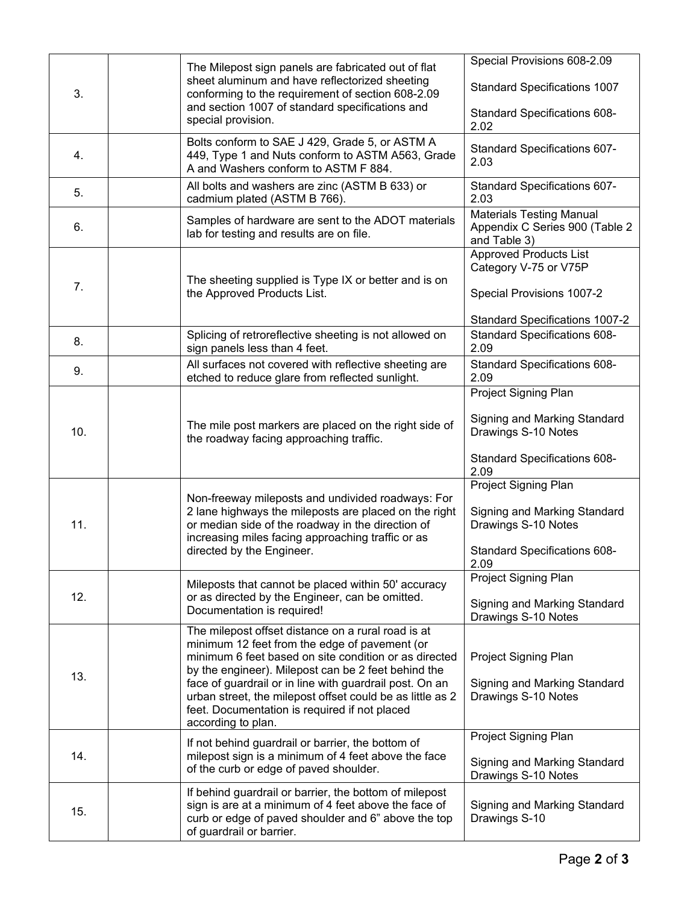|     |                                                                                                                                                                              | The Milepost sign panels are fabricated out of flat                                                                                                                                                                                                                                                                                                                                                                | Special Provisions 608-2.09                                                                                         |
|-----|------------------------------------------------------------------------------------------------------------------------------------------------------------------------------|--------------------------------------------------------------------------------------------------------------------------------------------------------------------------------------------------------------------------------------------------------------------------------------------------------------------------------------------------------------------------------------------------------------------|---------------------------------------------------------------------------------------------------------------------|
| 3.  | sheet aluminum and have reflectorized sheeting<br>conforming to the requirement of section 608-2.09<br>and section 1007 of standard specifications and<br>special provision. | <b>Standard Specifications 1007</b>                                                                                                                                                                                                                                                                                                                                                                                |                                                                                                                     |
|     |                                                                                                                                                                              | Standard Specifications 608-<br>2.02                                                                                                                                                                                                                                                                                                                                                                               |                                                                                                                     |
| 4.  |                                                                                                                                                                              | Bolts conform to SAE J 429, Grade 5, or ASTM A<br>449, Type 1 and Nuts conform to ASTM A563, Grade<br>A and Washers conform to ASTM F 884.                                                                                                                                                                                                                                                                         | Standard Specifications 607-<br>2.03                                                                                |
| 5.  |                                                                                                                                                                              | All bolts and washers are zinc (ASTM B 633) or<br>cadmium plated (ASTM B 766).                                                                                                                                                                                                                                                                                                                                     | Standard Specifications 607-<br>2.03                                                                                |
| 6.  |                                                                                                                                                                              | Samples of hardware are sent to the ADOT materials<br>lab for testing and results are on file.                                                                                                                                                                                                                                                                                                                     | <b>Materials Testing Manual</b><br>Appendix C Series 900 (Table 2<br>and Table 3)                                   |
| 7.  |                                                                                                                                                                              | The sheeting supplied is Type IX or better and is on<br>the Approved Products List.                                                                                                                                                                                                                                                                                                                                | <b>Approved Products List</b><br>Category V-75 or V75P<br>Special Provisions 1007-2                                 |
|     |                                                                                                                                                                              |                                                                                                                                                                                                                                                                                                                                                                                                                    | <b>Standard Specifications 1007-2</b>                                                                               |
| 8.  |                                                                                                                                                                              | Splicing of retroreflective sheeting is not allowed on<br>sign panels less than 4 feet.                                                                                                                                                                                                                                                                                                                            | <b>Standard Specifications 608-</b><br>2.09                                                                         |
| 9.  |                                                                                                                                                                              | All surfaces not covered with reflective sheeting are<br>etched to reduce glare from reflected sunlight.                                                                                                                                                                                                                                                                                                           | Standard Specifications 608-<br>2.09                                                                                |
| 10. |                                                                                                                                                                              | The mile post markers are placed on the right side of<br>the roadway facing approaching traffic.                                                                                                                                                                                                                                                                                                                   | Project Signing Plan<br>Signing and Marking Standard<br>Drawings S-10 Notes<br>Standard Specifications 608-<br>2.09 |
| 11. |                                                                                                                                                                              | Non-freeway mileposts and undivided roadways: For<br>2 lane highways the mileposts are placed on the right<br>or median side of the roadway in the direction of<br>increasing miles facing approaching traffic or as<br>directed by the Engineer.                                                                                                                                                                  | Project Signing Plan<br>Signing and Marking Standard<br>Drawings S-10 Notes<br>Standard Specifications 608-<br>2.09 |
| 12. |                                                                                                                                                                              | Mileposts that cannot be placed within 50' accuracy<br>or as directed by the Engineer, can be omitted.<br>Documentation is required!                                                                                                                                                                                                                                                                               | Project Signing Plan<br>Signing and Marking Standard<br>Drawings S-10 Notes                                         |
| 13. |                                                                                                                                                                              | The milepost offset distance on a rural road is at<br>minimum 12 feet from the edge of pavement (or<br>minimum 6 feet based on site condition or as directed<br>by the engineer). Milepost can be 2 feet behind the<br>face of guardrail or in line with guardrail post. On an<br>urban street, the milepost offset could be as little as 2<br>feet. Documentation is required if not placed<br>according to plan. | Project Signing Plan<br>Signing and Marking Standard<br>Drawings S-10 Notes                                         |
| 14. |                                                                                                                                                                              | If not behind guardrail or barrier, the bottom of<br>milepost sign is a minimum of 4 feet above the face<br>of the curb or edge of paved shoulder.                                                                                                                                                                                                                                                                 | Project Signing Plan<br>Signing and Marking Standard<br>Drawings S-10 Notes                                         |
| 15. |                                                                                                                                                                              | If behind guardrail or barrier, the bottom of milepost<br>sign is are at a minimum of 4 feet above the face of<br>curb or edge of paved shoulder and 6" above the top<br>of guardrail or barrier.                                                                                                                                                                                                                  | Signing and Marking Standard<br>Drawings S-10                                                                       |